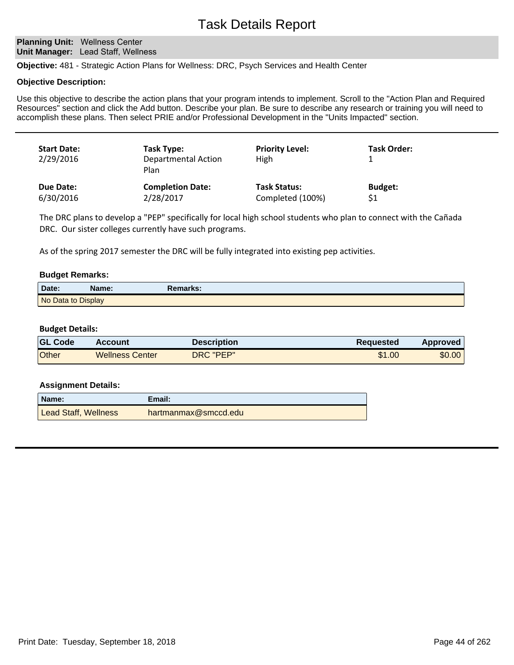**Planning Unit: Wellness Center Unit Manager: Lead Staff, Wellness** 

**Objective:** 481 - Strategic Action Plans for Wellness: DRC, Psych Services and Health Center

#### **Objective Description:**

Use this objective to describe the action plans that your program intends to implement. Scroll to the "Action Plan and Required Resources" section and click the Add button. Describe your plan. Be sure to describe any research or training you will need to accomplish these plans. Then select PRIE and/or Professional Development in the "Units Impacted" section.

| <b>Start Date:</b><br>2/29/2016 | Task Type:<br><b>Departmental Action</b><br>Plan | <b>Priority Level:</b><br>High | Task Order:    |
|---------------------------------|--------------------------------------------------|--------------------------------|----------------|
| Due Date:                       | <b>Completion Date:</b>                          | <b>Task Status:</b>            | <b>Budget:</b> |
| 6/30/2016                       | 2/28/2017                                        | Completed (100%)               | \$1            |

The DRC plans to develop a "PEP" specifically for local high school students who plan to connect with the Cañada DRC. Our sister colleges currently have such programs.

As of the spring 2017 semester the DRC will be fully integrated into existing pep activities.

#### **Budget Remarks:**

| Date:              | Name: | <b>Remarks:</b> |  |
|--------------------|-------|-----------------|--|
| No Data to Display |       |                 |  |

#### **Budget Details:**

| <b>GL Code</b> | Account                | <b>Description</b> | Reguested | Approved |
|----------------|------------------------|--------------------|-----------|----------|
| Other          | <b>Wellness Center</b> | DRC "PEP"          | \$1.00    | \$0.00   |

| Name:                | Email:               |
|----------------------|----------------------|
| Lead Staff, Wellness | hartmanmax@smccd.edu |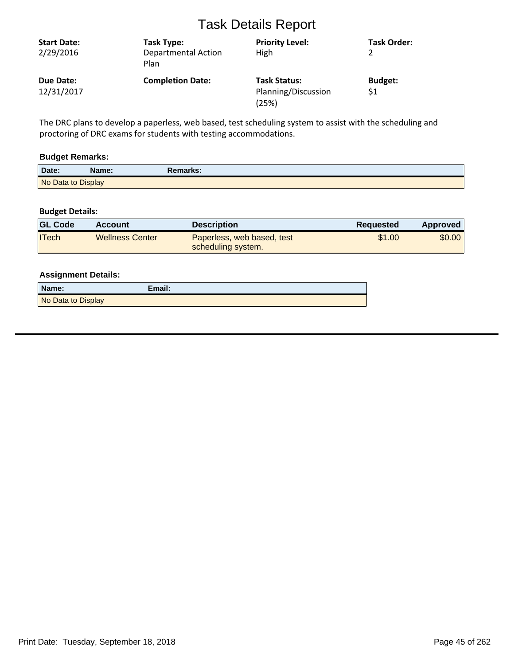| <b>Start Date:</b><br>2/29/2016 | Task Type:<br><b>Departmental Action</b><br>Plan | <b>Priority Level:</b><br>High                      | Task Order:           |
|---------------------------------|--------------------------------------------------|-----------------------------------------------------|-----------------------|
| Due Date:<br>12/31/2017         | <b>Completion Date:</b>                          | <b>Task Status:</b><br>Planning/Discussion<br>(25%) | <b>Budget:</b><br>\$1 |

The DRC plans to develop a paperless, web based, test scheduling system to assist with the scheduling and proctoring of DRC exams for students with testing accommodations.

## **Budget Remarks:**

| Date:              | Name: | Remarks: |  |
|--------------------|-------|----------|--|
| No Data to Display |       |          |  |

## **Budget Details:**

| <b>GL Code</b> | Account         | <b>Description</b>                               | Requested | Approved |
|----------------|-----------------|--------------------------------------------------|-----------|----------|
| ITech          | Wellness Center | Paperless, web based, test<br>scheduling system. | \$1.00    | \$0.00   |

| Name:              | Email: |
|--------------------|--------|
| No Data to Display |        |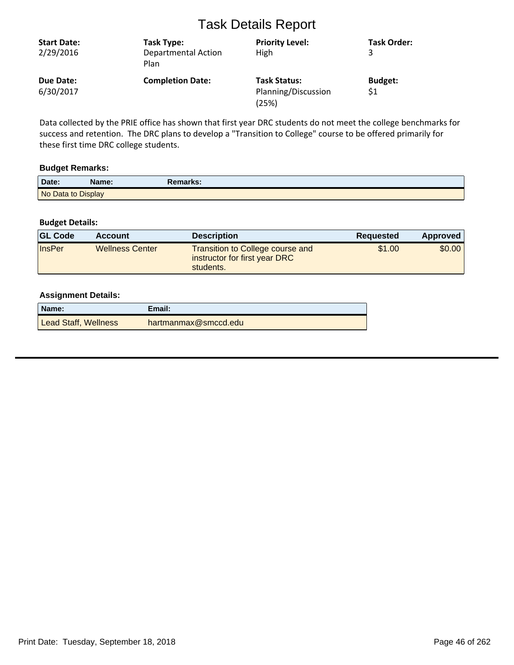| <b>Start Date:</b><br>2/29/2016 | Task Type:<br><b>Departmental Action</b><br>Plan | <b>Priority Level:</b><br>High                      | <b>Task Order:</b>    |
|---------------------------------|--------------------------------------------------|-----------------------------------------------------|-----------------------|
| Due Date:<br>6/30/2017          | <b>Completion Date:</b>                          | <b>Task Status:</b><br>Planning/Discussion<br>(25%) | <b>Budget:</b><br>\$1 |

Data collected by the PRIE office has shown that first year DRC students do not meet the college benchmarks for success and retention. The DRC plans to develop a "Transition to College" course to be offered primarily for these first time DRC college students.

#### **Budget Remarks:**

| Date:              | Name: | Remarks: |  |
|--------------------|-------|----------|--|
| No Data to Display |       |          |  |

## **Budget Details:**

| <b>GL Code</b> | <b>Account</b>         | <b>Description</b>                                                                    | Requested | Approved |
|----------------|------------------------|---------------------------------------------------------------------------------------|-----------|----------|
| <b>InsPer</b>  | <b>Wellness Center</b> | <b>Transition to College course and</b><br>instructor for first year DRC<br>students. | \$1.00    | \$0.00   |

| Name:                | Email:               |
|----------------------|----------------------|
| Lead Staff, Wellness | hartmanmax@smccd.edu |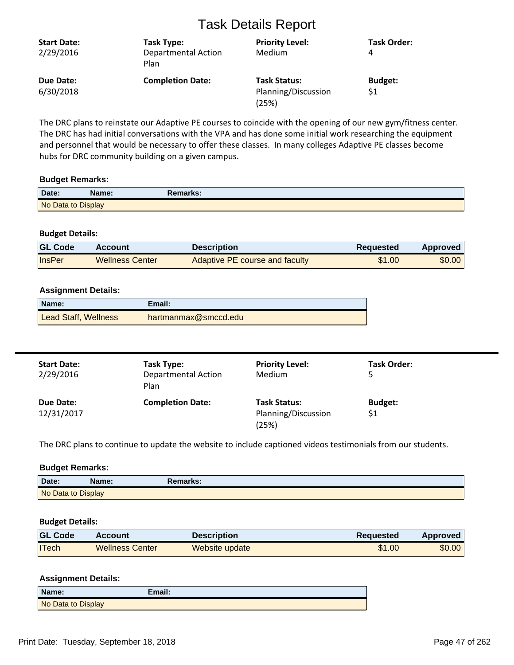| <b>Start Date:</b><br>2/29/2016 | Task Type:<br><b>Departmental Action</b><br>Plan | <b>Priority Level:</b><br>Medium                    | <b>Task Order:</b><br>4 |
|---------------------------------|--------------------------------------------------|-----------------------------------------------------|-------------------------|
| Due Date:<br>6/30/2018          | <b>Completion Date:</b>                          | <b>Task Status:</b><br>Planning/Discussion<br>(25%) | <b>Budget:</b><br>\$1   |

The DRC plans to reinstate our Adaptive PE courses to coincide with the opening of our new gym/fitness center. The DRC has had initial conversations with the VPA and has done some initial work researching the equipment and personnel that would be necessary to offer these classes. In many colleges Adaptive PE classes become hubs for DRC community building on a given campus.

#### **Budget Remarks:**

| Date:              | Name: | Remarks: \ |  |
|--------------------|-------|------------|--|
| No Data to Display |       |            |  |

#### **Budget Details:**

| <b>GL Code</b> | <b>Account</b>         | Description                    | <b>Requested</b> | Approved |
|----------------|------------------------|--------------------------------|------------------|----------|
| InsPer         | <b>Wellness Center</b> | Adaptive PE course and faculty | \$1.00           | \$0.00   |

#### **Assignment Details:**

| Name:                       | Email:               |
|-----------------------------|----------------------|
| <b>Lead Staff, Wellness</b> | hartmanmax@smccd.edu |

| <b>Start Date:</b><br>2/29/2016 | Task Type:<br><b>Departmental Action</b><br>Plan | <b>Priority Level:</b><br>Medium                    | <b>Task Order:</b>    |
|---------------------------------|--------------------------------------------------|-----------------------------------------------------|-----------------------|
| Due Date:<br>12/31/2017         | <b>Completion Date:</b>                          | <b>Task Status:</b><br>Planning/Discussion<br>(25%) | <b>Budget:</b><br>\$1 |

The DRC plans to continue to update the website to include captioned videos testimonials from our students.

#### **Budget Remarks:**

| Date.              | Name: | Remarks: |
|--------------------|-------|----------|
| No Data to Display |       |          |

## **Budget Details:**

| <b>GL Code</b> | <b>Account</b>         | <b>Description</b> | Reguested | Approved |
|----------------|------------------------|--------------------|-----------|----------|
| <b>ITech</b>   | <b>Wellness Center</b> | Website update     | \$1.00    | \$0.00   |

| Name:              | Email: |
|--------------------|--------|
| No Data to Display |        |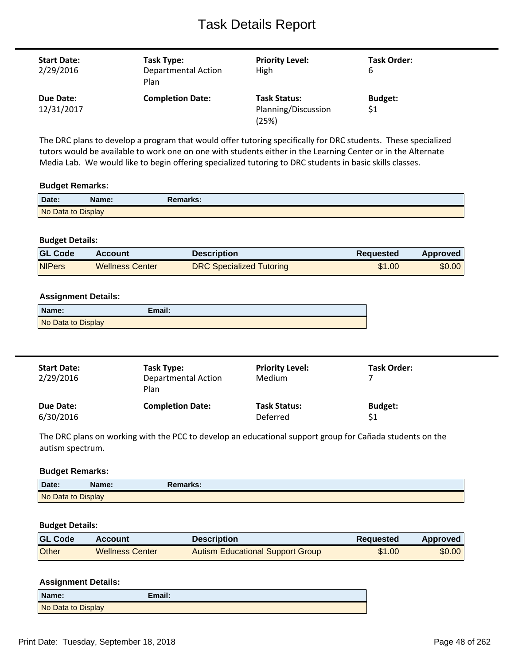| <b>Start Date:</b><br>2/29/2016 | Task Type:<br><b>Departmental Action</b><br>Plan | <b>Priority Level:</b><br>High                      | Task Order:<br>6      |
|---------------------------------|--------------------------------------------------|-----------------------------------------------------|-----------------------|
| Due Date:<br>12/31/2017         | <b>Completion Date:</b>                          | <b>Task Status:</b><br>Planning/Discussion<br>(25%) | <b>Budget:</b><br>\$1 |

The DRC plans to develop a program that would offer tutoring specifically for DRC students. These specialized tutors would be available to work one on one with students either in the Learning Center or in the Alternate Media Lab. We would like to begin offering specialized tutoring to DRC students in basic skills classes.

#### **Budget Remarks:**

| Date:              | Name: | Remarks: |  |
|--------------------|-------|----------|--|
| No Data to Display |       |          |  |

## **Budget Details:**

| <b>GL Code</b> | <b>Account</b>         | <b>Description</b>              | Requested | Approved |
|----------------|------------------------|---------------------------------|-----------|----------|
| <b>NIPers</b>  | <b>Wellness Center</b> | <b>DRC Specialized Tutoring</b> | \$1.00    | \$0.00   |

#### **Assignment Details:**

| Name:              | Email: |
|--------------------|--------|
| No Data to Display |        |

| <b>Start Date:</b><br>2/29/2016 | Task Type:<br><b>Departmental Action</b><br>Plan | <b>Priority Level:</b><br>Medium | Task Order:    |
|---------------------------------|--------------------------------------------------|----------------------------------|----------------|
| Due Date:                       | <b>Completion Date:</b>                          | <b>Task Status:</b>              | <b>Budget:</b> |
| 6/30/2016                       |                                                  | Deferred                         | \$1            |

The DRC plans on working with the PCC to develop an educational support group for Cañada students on the autism spectrum.

#### **Budget Remarks:**

| Date:              | Name: | Remarks: |  |
|--------------------|-------|----------|--|
| No Data to Display |       |          |  |

#### **Budget Details:**

| <b>GL Code</b> | <b>Account</b>         | <b>Description</b>               | <b>Requested</b> | Approved |
|----------------|------------------------|----------------------------------|------------------|----------|
| <b>Other</b>   | <b>Wellness Center</b> | Autism Educational Support Group | \$1.00           | \$0.00   |

| Name:              | Email: |
|--------------------|--------|
| No Data to Display |        |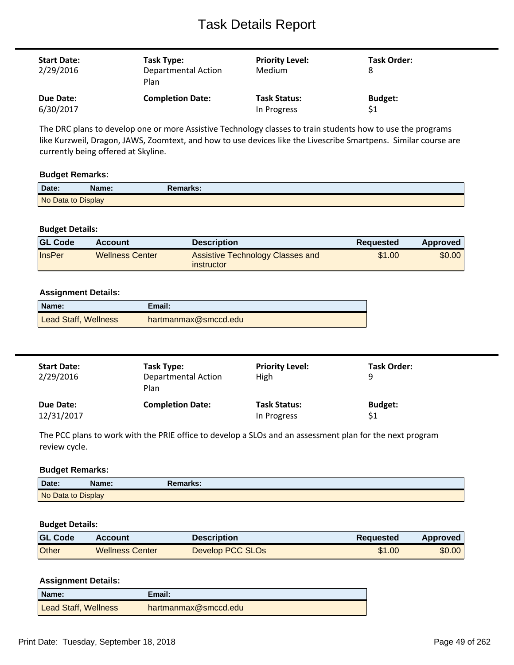| <b>Start Date:</b><br>2/29/2016 | Task Type:<br><b>Departmental Action</b><br>Plan | <b>Priority Level:</b><br><b>Medium</b> | Task Order:<br>8 |
|---------------------------------|--------------------------------------------------|-----------------------------------------|------------------|
| Due Date:                       | <b>Completion Date:</b>                          | <b>Task Status:</b>                     | <b>Budget:</b>   |
| 6/30/2017                       |                                                  | In Progress                             | \$1              |

The DRC plans to develop one or more Assistive Technology classes to train students how to use the programs like Kurzweil, Dragon, JAWS, Zoomtext, and how to use devices like the Livescribe Smartpens. Similar course are currently being offered at Skyline.

#### **Budget Remarks:**

| Date:              | Name: | Remarks: |
|--------------------|-------|----------|
| No Data to Display |       |          |

#### **Budget Details:**

| <b>GL Code</b> | Account                | <b>Description</b>                                    | Reguested | Approved |
|----------------|------------------------|-------------------------------------------------------|-----------|----------|
| <b>InsPer</b>  | <b>Wellness Center</b> | <b>Assistive Technology Classes and</b><br>instructor | \$1.00    | \$0.00   |

#### **Assignment Details:**

| Name:                       | Email:               |
|-----------------------------|----------------------|
| <b>Lead Staff, Wellness</b> | hartmanmax@smccd.edu |

| <b>Start Date:</b><br>2/29/2016 | Task Type:<br><b>Departmental Action</b><br>Plan | <b>Priority Level:</b><br>High | Task Order:<br>q |
|---------------------------------|--------------------------------------------------|--------------------------------|------------------|
| Due Date:                       | <b>Completion Date:</b>                          | <b>Task Status:</b>            | <b>Budget:</b>   |
| 12/31/2017                      |                                                  | In Progress                    | \$1              |

The PCC plans to work with the PRIE office to develop a SLOs and an assessment plan for the next program review cycle.

#### **Budget Remarks:**

| Date:              | Name: | <b>Remarks:</b> |  |
|--------------------|-------|-----------------|--|
| No Data to Display |       |                 |  |

#### **Budget Details:**

| <b>GL Code</b> | Account                | <b>Description</b> | Requested | Approved |
|----------------|------------------------|--------------------|-----------|----------|
| Other          | <b>Wellness Center</b> | Develop PCC SLOs   | \$1.00    | \$0.00   |

| Name:                       | Email:               |
|-----------------------------|----------------------|
| <b>Lead Staff, Wellness</b> | hartmanmax@smccd.edu |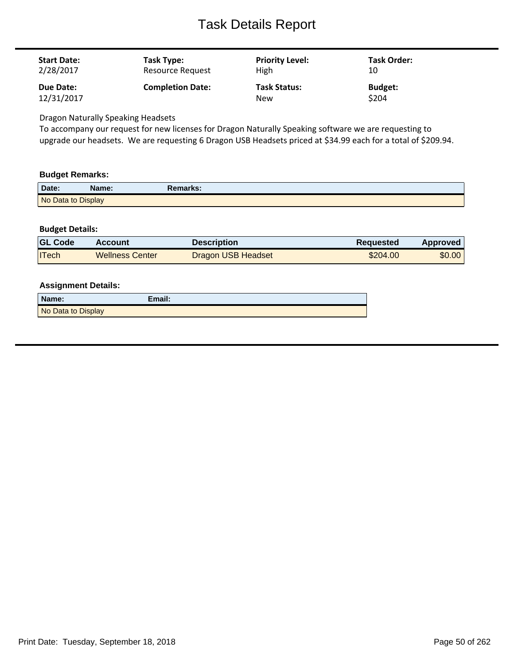| <b>Start Date:</b> | Task Type:              | <b>Priority Level:</b> | Task Order:    |
|--------------------|-------------------------|------------------------|----------------|
| 2/28/2017          | Resource Request        | High                   | 10             |
| Due Date:          | <b>Completion Date:</b> | <b>Task Status:</b>    | <b>Budget:</b> |
| 12/31/2017         |                         | <b>New</b>             | \$204          |

Dragon Naturally Speaking Headsets

To accompany our request for new licenses for Dragon Naturally Speaking software we are requesting to upgrade our headsets. We are requesting 6 Dragon USB Headsets priced at \$34.99 each for a total of \$209.94.

#### **Budget Remarks:**

| Date:              | Name: | Remarks: |
|--------------------|-------|----------|
| No Data to Display |       |          |

## **Budget Details:**

| <b>GL Code</b> | <b>Account</b>         | <b>Description</b>        | Requested | <b>Approved</b> |
|----------------|------------------------|---------------------------|-----------|-----------------|
| <b>ITech</b>   | <b>Wellness Center</b> | <b>Dragon USB Headset</b> | \$204.00  | \$0.00          |

| Name:              | Email: |
|--------------------|--------|
| No Data to Display |        |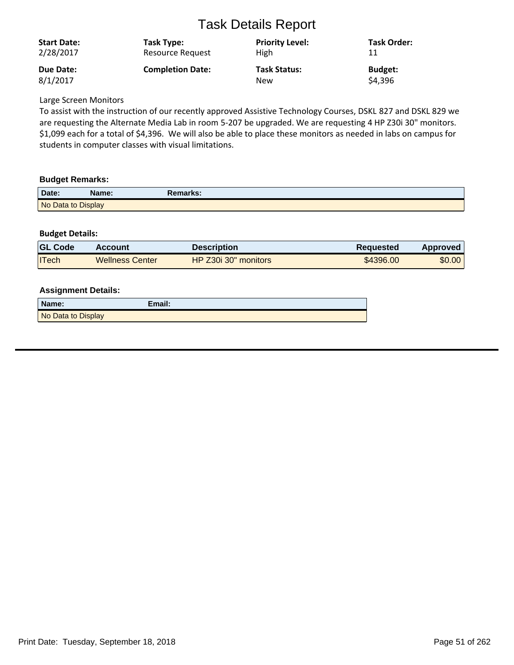| <b>Start Date:</b> | Task Type:              | <b>Priority Level:</b> | Task Order:    |
|--------------------|-------------------------|------------------------|----------------|
| 2/28/2017          | <b>Resource Request</b> | <b>High</b>            | 11             |
| Due Date:          | <b>Completion Date:</b> | <b>Task Status:</b>    | <b>Budget:</b> |
| 8/1/2017           |                         | <b>New</b>             | \$4,396        |

Large Screen Monitors

To assist with the instruction of our recently approved Assistive Technology Courses, DSKL 827 and DSKL 829 we are requesting the Alternate Media Lab in room 5-207 be upgraded. We are requesting 4 HP Z30i 30" monitors. \$1,099 each for a total of \$4,396. We will also be able to place these monitors as needed in labs on campus for students in computer classes with visual limitations.

## **Budget Remarks:**

| Date:              | Name: | Remarks: |  |
|--------------------|-------|----------|--|
| No Data to Display |       |          |  |

## **Budget Details:**

| <b>GL Code</b> | Account                | <b>Description</b>   | <b>Requested</b> | Approved |
|----------------|------------------------|----------------------|------------------|----------|
| <b>ITech</b>   | <b>Wellness Center</b> | HP Z30i 30" monitors | \$4396.00        | \$0.00   |

| Name:              | Email: |
|--------------------|--------|
| No Data to Display |        |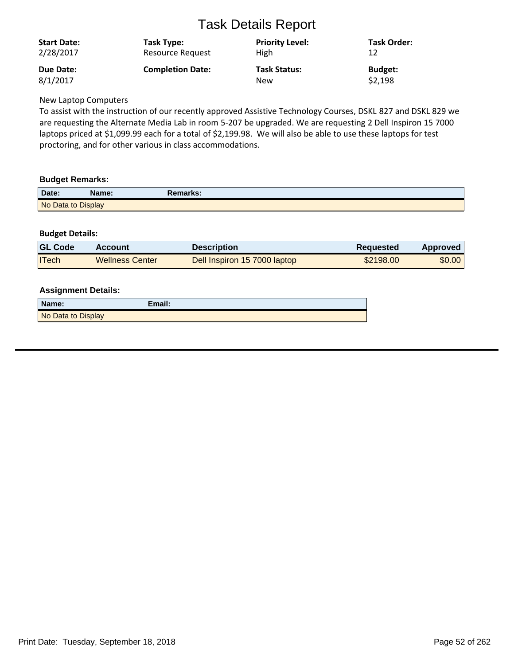| <b>Start Date:</b> | Task Type:              | <b>Priority Level:</b> | Task Order:    |
|--------------------|-------------------------|------------------------|----------------|
| 2/28/2017          | <b>Resource Request</b> | High                   | 12             |
| <b>Due Date:</b>   | <b>Completion Date:</b> | <b>Task Status:</b>    | <b>Budget:</b> |
| 8/1/2017           |                         | New                    | \$2,198        |

New Laptop Computers

To assist with the instruction of our recently approved Assistive Technology Courses, DSKL 827 and DSKL 829 we are requesting the Alternate Media Lab in room 5-207 be upgraded. We are requesting 2 Dell Inspiron 15 7000 laptops priced at \$1,099.99 each for a total of \$2,199.98. We will also be able to use these laptops for test proctoring, and for other various in class accommodations.

## **Budget Remarks:**

| Date:              | Name: | Remarks: |  |
|--------------------|-------|----------|--|
| No Data to Display |       |          |  |

## **Budget Details:**

| <b>GL Code</b> | <b>Account</b>         | Description                  | <b>Requested</b> | Approved |
|----------------|------------------------|------------------------------|------------------|----------|
| <b>ITech</b>   | <b>Wellness Center</b> | Dell Inspiron 15 7000 laptop | \$2198.00        | \$0.00   |

| Name:              | Email: |
|--------------------|--------|
| No Data to Display |        |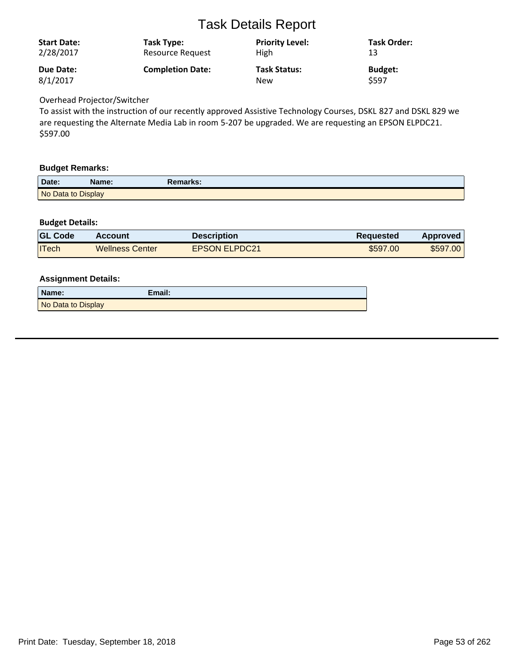| <b>Start Date:</b> | Task Type:              | <b>Priority Level:</b> | <b>Task Order:</b> |
|--------------------|-------------------------|------------------------|--------------------|
| 2/28/2017          | <b>Resource Request</b> | <b>High</b>            | 13                 |
| Due Date:          | <b>Completion Date:</b> | <b>Task Status:</b>    | <b>Budget:</b>     |
| 8/1/2017           |                         | <b>New</b>             | \$597              |

## Overhead Projector/Switcher

To assist with the instruction of our recently approved Assistive Technology Courses, DSKL 827 and DSKL 829 we are requesting the Alternate Media Lab in room 5-207 be upgraded. We are requesting an EPSON ELPDC21. \$597.00

#### **Budget Remarks:**

| Date:              | <b>Name:</b> | <b>Remarks:</b> |  |
|--------------------|--------------|-----------------|--|
| No Data to Display |              |                 |  |

## **Budget Details:**

| <b>GL Code</b> | <b>Account</b>         | <b>Description</b>   | <b>Requested</b> | Approved |
|----------------|------------------------|----------------------|------------------|----------|
| <b>ITech</b>   | <b>Wellness Center</b> | <b>EPSON ELPDC21</b> | \$597.00         | \$597.00 |

| Name:              | Email: |
|--------------------|--------|
| No Data to Display |        |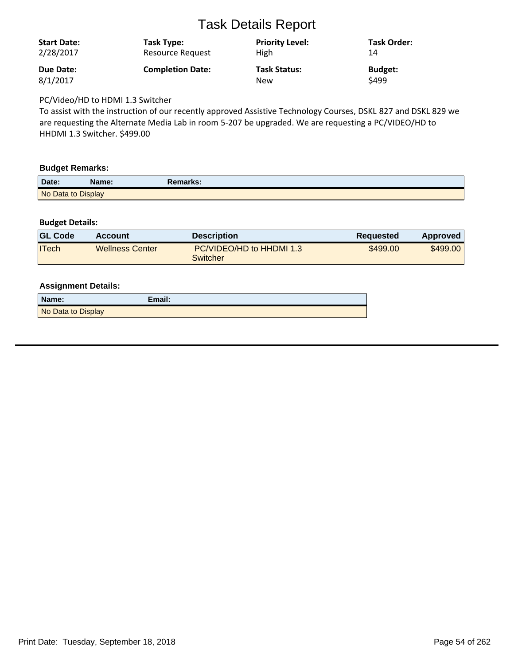| <b>Start Date:</b><br>2/28/2017 | Task Type:<br>Resource Request | <b>Priority Level:</b><br>High | <b>Task Order:</b><br>14 |
|---------------------------------|--------------------------------|--------------------------------|--------------------------|
| <b>Due Date:</b>                | <b>Completion Date:</b>        | <b>Task Status:</b>            | <b>Budget:</b>           |
| 8/1/2017                        |                                | <b>New</b>                     | \$499                    |

PC/Video/HD to HDMI 1.3 Switcher

To assist with the instruction of our recently approved Assistive Technology Courses, DSKL 827 and DSKL 829 we are requesting the Alternate Media Lab in room 5-207 be upgraded. We are requesting a PC/VIDEO/HD to HHDMI 1.3 Switcher. \$499.00

#### **Budget Remarks:**

| Date:              | Name: | Remarks: |  |
|--------------------|-------|----------|--|
| No Data to Display |       |          |  |

## **Budget Details:**

| <b>GL Code</b> | <b>Account</b>         | Description                          | <b>Requested</b> | <b>Approved</b> |
|----------------|------------------------|--------------------------------------|------------------|-----------------|
| <b>ITech</b>   | <b>Wellness Center</b> | PC/VIDEO/HD to HHDMI 1.3<br>Switcher | \$499.00         | \$499.00        |

| Name:              | Email: |
|--------------------|--------|
| No Data to Display |        |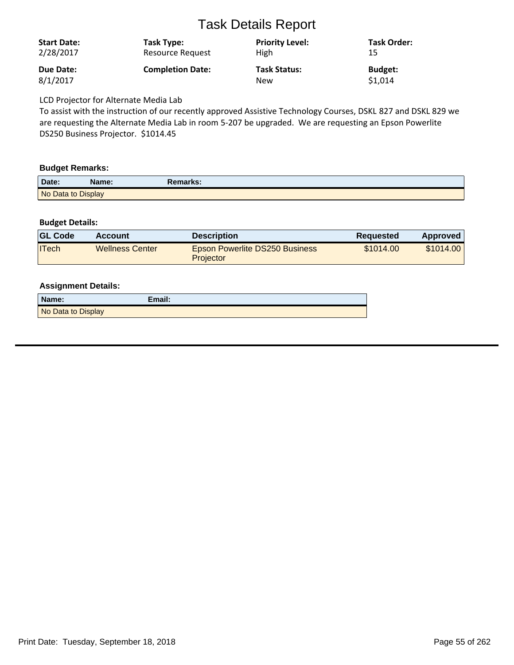| <b>Start Date:</b> | Task Type:              | <b>Priority Level:</b> | <b>Task Order:</b> |
|--------------------|-------------------------|------------------------|--------------------|
| 2/28/2017          | Resource Request        | <b>High</b>            | 15                 |
| Due Date:          | <b>Completion Date:</b> | <b>Task Status:</b>    | <b>Budget:</b>     |
| 8/1/2017           |                         | <b>New</b>             | \$1,014            |
|                    |                         |                        |                    |

LCD Projector for Alternate Media Lab

To assist with the instruction of our recently approved Assistive Technology Courses, DSKL 827 and DSKL 829 we are requesting the Alternate Media Lab in room 5-207 be upgraded. We are requesting an Epson Powerlite DS250 Business Projector. \$1014.45

#### **Budget Remarks:**

| Date:              | Name: | Remarks: |  |
|--------------------|-------|----------|--|
| No Data to Display |       |          |  |

## **Budget Details:**

| <b>GL Code</b> | <b>Account</b>         | <b>Description</b>                                        | Requested | Approved  |
|----------------|------------------------|-----------------------------------------------------------|-----------|-----------|
| ITech          | <b>Wellness Center</b> | <b>Epson Powerlite DS250 Business</b><br><b>Projector</b> | \$1014.00 | \$1014.00 |

| Name:              | Email: |
|--------------------|--------|
| No Data to Display |        |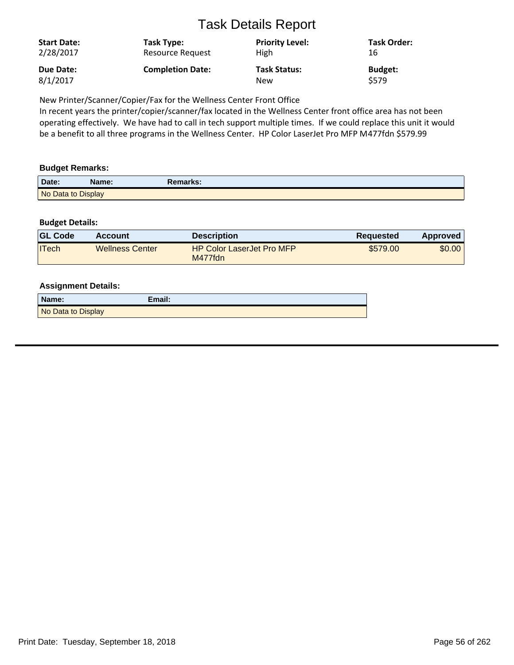| <b>Start Date:</b> | Task Type:              | <b>Priority Level:</b> | <b>Task Order:</b> |
|--------------------|-------------------------|------------------------|--------------------|
| 2/28/2017          | Resource Request        | <b>High</b>            | 16                 |
| Due Date:          | <b>Completion Date:</b> | <b>Task Status:</b>    | <b>Budget:</b>     |
| 8/1/2017           |                         | <b>New</b>             | S579               |

New Printer/Scanner/Copier/Fax for the Wellness Center Front Office

In recent years the printer/copier/scanner/fax located in the Wellness Center front office area has not been operating effectively. We have had to call in tech support multiple times. If we could replace this unit it would be a benefit to all three programs in the Wellness Center. HP Color LaserJet Pro MFP M477fdn \$579.99

## **Budget Remarks:**

| Date:              | <b>Name:</b> | Remarks: |  |
|--------------------|--------------|----------|--|
| No Data to Display |              |          |  |

## **Budget Details:**

| <b>GL Code</b> | <b>Account</b>         | Description                                 | Requested | Approved |
|----------------|------------------------|---------------------------------------------|-----------|----------|
| <b>ITech</b>   | <b>Wellness Center</b> | <b>HP Color LaserJet Pro MFP</b><br>M477fdn | \$579.00  | \$0.00   |

| Name:              | Email: |
|--------------------|--------|
| No Data to Display |        |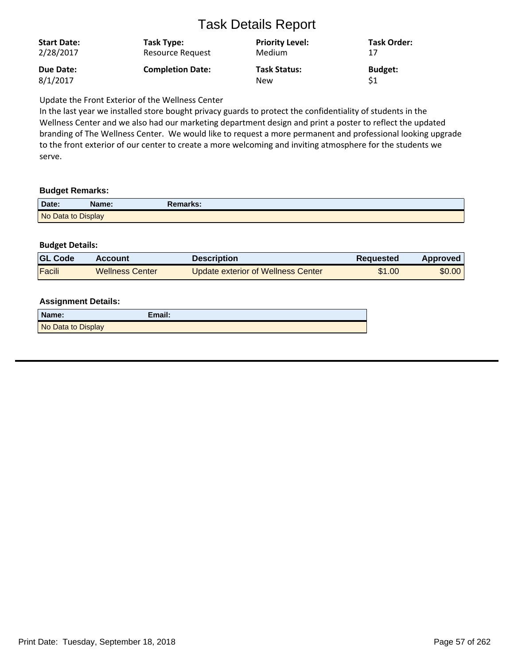| <b>Start Date:</b> | Task Type:              | <b>Priority Level:</b> | Task Order:    |
|--------------------|-------------------------|------------------------|----------------|
| 2/28/2017          | <b>Resource Request</b> | <b>Medium</b>          | 17             |
| Due Date:          | <b>Completion Date:</b> | <b>Task Status:</b>    | <b>Budget:</b> |
| 8/1/2017           |                         | New                    | \$1            |

Update the Front Exterior of the Wellness Center

In the last year we installed store bought privacy guards to protect the confidentiality of students in the Wellness Center and we also had our marketing department design and print a poster to reflect the updated branding of The Wellness Center. We would like to request a more permanent and professional looking upgrade to the front exterior of our center to create a more welcoming and inviting atmosphere for the students we serve.

#### **Budget Remarks:**

| Date:              | Name: | Remarks: |
|--------------------|-------|----------|
| No Data to Display |       |          |

## **Budget Details:**

| <b>GL Code</b> | Account                | Description                        | <b>Requested</b> | Approved |
|----------------|------------------------|------------------------------------|------------------|----------|
| Facili         | <b>Wellness Center</b> | Update exterior of Wellness Center | \$1.00           | \$0.00   |

| Name:              | Email: |
|--------------------|--------|
| No Data to Display |        |